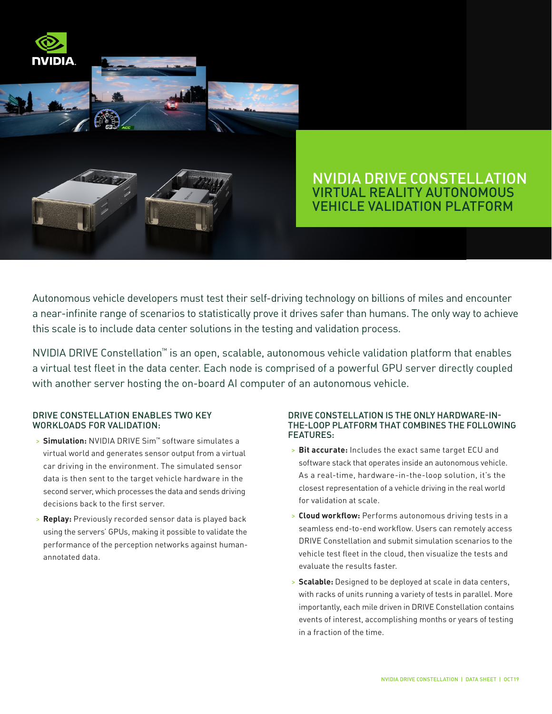

# NVIDIA DRIVE CONSTELLATION VIRTUAL REALITY AUTONOMOUS VEHICLE VALIDATION PLATFORM

Autonomous vehicle developers must test their self-driving technology on billions of miles and encounter a near-infinite range of scenarios to statistically prove it drives safer than humans. The only way to achieve this scale is to include data center solutions in the testing and validation process.

NVIDIA DRIVE Constellation™ is an open, scalable, autonomous vehicle validation platform that enables a virtual test fleet in the data center. Each node is comprised of a powerful GPU server directly coupled with another server hosting the on-board AI computer of an autonomous vehicle.

## DRIVE CONSTELLATION ENABLES TWO KEY WORKLOADS FOR VALIDATION:

- > **Simulation:** NVIDIA DRIVE Sim™ software simulates a virtual world and generates sensor output from a virtual car driving in the environment. The simulated sensor data is then sent to the target vehicle hardware in the second server, which processes the data and sends driving decisions back to the first server.
- > **Replay:** Previously recorded sensor data is played back using the servers' GPUs, making it possible to validate the performance of the perception networks against humanannotated data.

### DRIVE CONSTELLATION IS THE ONLY HARDWARE-IN-THE-LOOP PLATFORM THAT COMBINES THE FOLLOWING FEATURES:

- > **Bit accurate:** Includes the exact same target ECU and software stack that operates inside an autonomous vehicle. As a real-time, hardware-in-the-loop solution, it's the closest representation of a vehicle driving in the real world for validation at scale.
- > **Cloud workflow:** Performs autonomous driving tests in a seamless end-to-end workflow. Users can remotely access DRIVE Constellation and submit simulation scenarios to the vehicle test fleet in the cloud, then visualize the tests and evaluate the results faster.
- > **Scalable:** Designed to be deployed at scale in data centers, with racks of units running a variety of tests in parallel. More importantly, each mile driven in DRIVE Constellation contains events of interest, accomplishing months or years of testing in a fraction of the time.